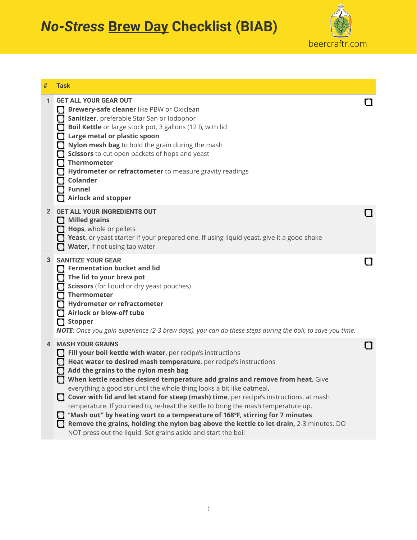*No-Stress* **Brew Day Checklist (BIAB)**



| #              | <b>Task</b>                                                                                                                                                                                                                                                                                                                                                                                                                                                                                                                                                                                                                                                                                                                                                                               |  |
|----------------|-------------------------------------------------------------------------------------------------------------------------------------------------------------------------------------------------------------------------------------------------------------------------------------------------------------------------------------------------------------------------------------------------------------------------------------------------------------------------------------------------------------------------------------------------------------------------------------------------------------------------------------------------------------------------------------------------------------------------------------------------------------------------------------------|--|
| $\mathbf{1}$   | <b>GET ALL YOUR GEAR OUT</b><br><b>Servel Servery-safe cleaner</b> like PBW or Oxiclean<br>Sanitizer, preferable Star San or Iodophor<br>Boil Kettle or large stock pot, 3 gallons (12 l), with lid<br>Large metal or plastic spoon<br>Nylon mesh bag to hold the grain during the mash<br>Scissors to cut open packets of hops and yeast<br>Thermometer<br>Hydrometer or refractometer to measure gravity readings<br><b>Colander</b><br><b>Funnel</b><br><b>Airlock and stopper</b>                                                                                                                                                                                                                                                                                                     |  |
| $\overline{2}$ | <b>GET ALL YOUR INGREDIENTS OUT</b><br>$\Box$ Milled grains<br>Hops, whole or pellets<br>Yeast, or yeast starter if your prepared one. If using liquid yeast, give it a good shake<br>Water, if not using tap water                                                                                                                                                                                                                                                                                                                                                                                                                                                                                                                                                                       |  |
| 3              | <b>SANITIZE YOUR GEAR</b><br>Fermentation bucket and lid<br>$\Box$ The lid to your brew pot<br>Scissors (for liquid or dry yeast pouches)<br><b>Thermometer</b><br>Hydrometer or refractometer<br>Airlock or blow-off tube<br>$\Box$ Stopper<br>NOTE: Once you gain experience (2-3 brew days), you can do these steps during the boil, to save you time.                                                                                                                                                                                                                                                                                                                                                                                                                                 |  |
| 4              | <b>MASH YOUR GRAINS</b><br>Fill your boil kettle with water, per recipe's instructions<br>Heat water to desired mash temperature, per recipe's instructions<br>Add the grains to the nylon mesh bag<br>When kettle reaches desired temperature add grains and remove from heat. Give<br>everything a good stir until the whole thing looks a bit like oatmeal.<br>Cover with lid and let stand for steep (mash) time, per recipe's instructions, at mash<br>temperature. If you need to, re-heat the kettle to bring the mash temperature up.<br>"Mash out" by heating wort to a temperature of 168°F, stirring for 7 minutes<br>Remove the grains, holding the nylon bag above the kettle to let drain, 2-3 minutes. DO<br>NOT press out the liquid. Set grains aside and start the boil |  |